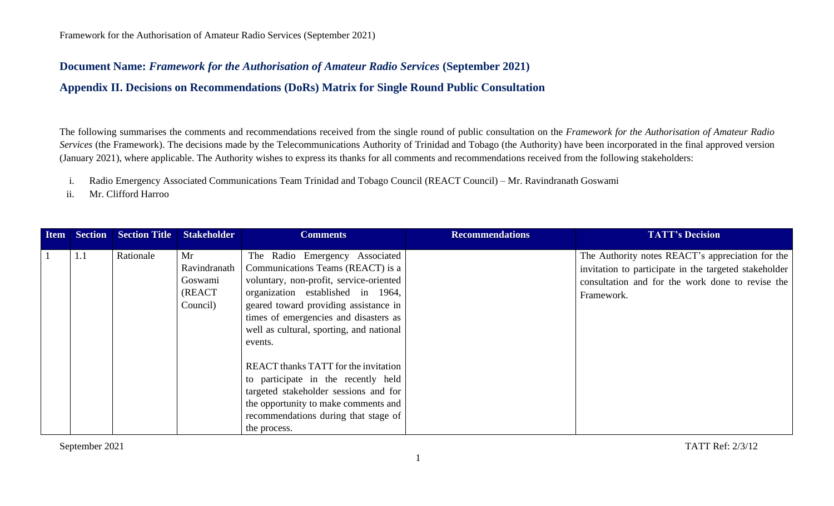## **Document Name:** *Framework for the Authorisation of Amateur Radio Services* **(September 2021)**

**Appendix II. Decisions on Recommendations (DoRs) Matrix for Single Round Public Consultation**

The following summarises the comments and recommendations received from the single round of public consultation on the *Framework for the Authorisation of Amateur Radio Services* (the Framework). The decisions made by the Telecommunications Authority of Trinidad and Tobago (the Authority) have been incorporated in the final approved version (January 2021), where applicable. The Authority wishes to express its thanks for all comments and recommendations received from the following stakeholders:

- i. Radio Emergency Associated Communications Team Trinidad and Tobago Council (REACT Council) Mr. Ravindranath Goswami
- ii. Mr. Clifford Harroo

| <b>Item</b> |     | Section Section Title Stakeholder |                                                      | <b>Comments</b>                                                                                                                                                                                                                                                                              | <b>Recommendations</b> | <b>TATT's Decision</b>                                                                                                                                                      |
|-------------|-----|-----------------------------------|------------------------------------------------------|----------------------------------------------------------------------------------------------------------------------------------------------------------------------------------------------------------------------------------------------------------------------------------------------|------------------------|-----------------------------------------------------------------------------------------------------------------------------------------------------------------------------|
|             | 1.1 | Rationale                         | Mr<br>Ravindranath<br>Goswami<br>(REACT)<br>Council) | The Radio Emergency Associated<br>Communications Teams (REACT) is a<br>voluntary, non-profit, service-oriented<br>organization established in 1964,<br>geared toward providing assistance in<br>times of emergencies and disasters as<br>well as cultural, sporting, and national<br>events. |                        | The Authority notes REACT's appreciation for the<br>invitation to participate in the targeted stakeholder<br>consultation and for the work done to revise the<br>Framework. |
|             |     |                                   |                                                      | <b>REACT</b> thanks TATT for the invitation<br>to participate in the recently held<br>targeted stakeholder sessions and for<br>the opportunity to make comments and<br>recommendations during that stage of<br>the process.                                                                  |                        |                                                                                                                                                                             |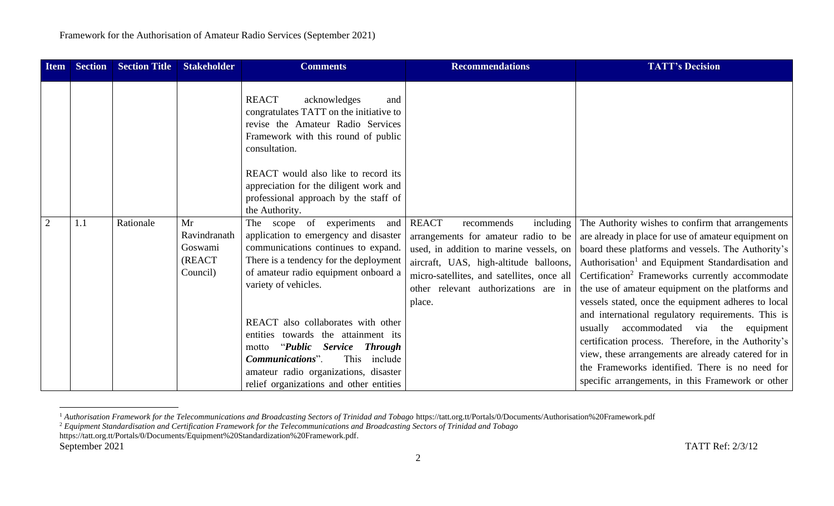| <b>Item</b>    | <b>Section</b> | <b>Section Title</b> | <b>Stakeholder</b>                                  | <b>Comments</b>                                                                                                                                                                                                                                                 | <b>Recommendations</b>                                                                                                                                                                                                                                               | <b>TATT's Decision</b>                                                                                                                                                                                                                                                                                                                                                                                                                                                                                        |
|----------------|----------------|----------------------|-----------------------------------------------------|-----------------------------------------------------------------------------------------------------------------------------------------------------------------------------------------------------------------------------------------------------------------|----------------------------------------------------------------------------------------------------------------------------------------------------------------------------------------------------------------------------------------------------------------------|---------------------------------------------------------------------------------------------------------------------------------------------------------------------------------------------------------------------------------------------------------------------------------------------------------------------------------------------------------------------------------------------------------------------------------------------------------------------------------------------------------------|
|                |                |                      |                                                     | <b>REACT</b><br>acknowledges<br>and<br>congratulates TATT on the initiative to<br>revise the Amateur Radio Services<br>Framework with this round of public<br>consultation.<br>REACT would also like to record its<br>appreciation for the diligent work and    |                                                                                                                                                                                                                                                                      |                                                                                                                                                                                                                                                                                                                                                                                                                                                                                                               |
|                |                |                      |                                                     | professional approach by the staff of<br>the Authority.                                                                                                                                                                                                         |                                                                                                                                                                                                                                                                      |                                                                                                                                                                                                                                                                                                                                                                                                                                                                                                               |
| $\overline{2}$ | 1.1            | Rationale            | Mr<br>Ravindranath<br>Goswami<br>(REACT<br>Council) | The scope of experiments<br>and<br>application to emergency and disaster<br>communications continues to expand.<br>There is a tendency for the deployment<br>of amateur radio equipment onboard a<br>variety of vehicles.<br>REACT also collaborates with other | <b>REACT</b><br>including<br>recommends<br>arrangements for amateur radio to be<br>used, in addition to marine vessels, on<br>aircraft, UAS, high-altitude balloons,<br>micro-satellites, and satellites, once all<br>other relevant authorizations are in<br>place. | The Authority wishes to confirm that arrangements<br>are already in place for use of amateur equipment on<br>board these platforms and vessels. The Authority's<br>Authorisation <sup>1</sup> and Equipment Standardisation and<br>Certification <sup>2</sup> Frameworks currently accommodate<br>the use of amateur equipment on the platforms and<br>vessels stated, once the equipment adheres to local<br>and international regulatory requirements. This is<br>accommodated via the equipment<br>usually |
|                |                |                      |                                                     | entities towards the attainment its<br><b>Service</b><br><b>Through</b><br><i>'Public</i><br>motto<br>Communications".<br>This<br>include<br>amateur radio organizations, disaster<br>relief organizations and other entities                                   |                                                                                                                                                                                                                                                                      | certification process. Therefore, in the Authority's<br>view, these arrangements are already catered for in<br>the Frameworks identified. There is no need for<br>specific arrangements, in this Framework or other                                                                                                                                                                                                                                                                                           |

<sup>&</sup>lt;sup>1</sup> Authorisation Framework for the Telecommunications and Broadcasting Sectors of Trinidad and Tobago https://tatt.org.tt/Portals/0/Documents/Authorisation%20Framework.pdf

<sup>2</sup> *Equipment Standardisation and Certification Framework for the Telecommunications and Broadcasting Sectors of Trinidad and Tobago* 

https://tatt.org.tt/Portals/0/Documents/Equipment%20Standardization%20Framework.pdf*.*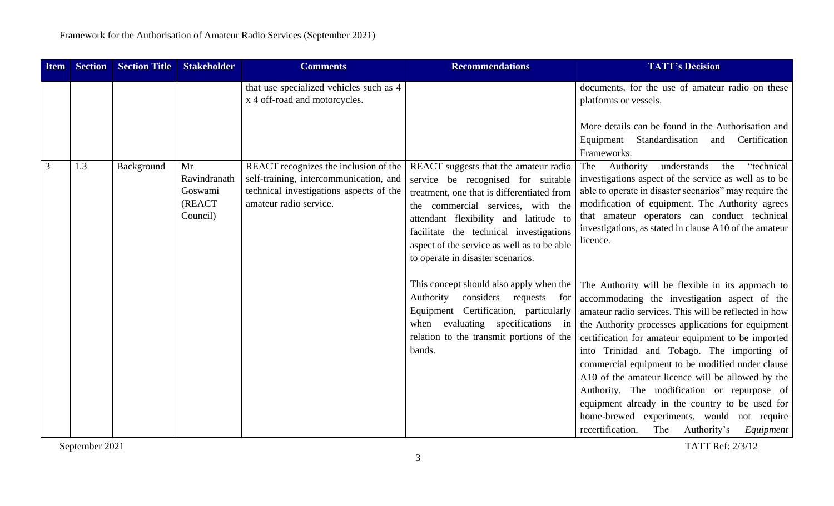| <b>Item</b> | <b>Section</b> | <b>Section Title</b> | <b>Stakeholder</b>                                          | <b>Comments</b>                                                                                                                                      | <b>Recommendations</b>                                                                                                                                                                                                                                                                                                                 | <b>TATT's Decision</b>                                                                                                                                                                                                                                                                                                                                                                                                                                                                                                                                                                                                             |
|-------------|----------------|----------------------|-------------------------------------------------------------|------------------------------------------------------------------------------------------------------------------------------------------------------|----------------------------------------------------------------------------------------------------------------------------------------------------------------------------------------------------------------------------------------------------------------------------------------------------------------------------------------|------------------------------------------------------------------------------------------------------------------------------------------------------------------------------------------------------------------------------------------------------------------------------------------------------------------------------------------------------------------------------------------------------------------------------------------------------------------------------------------------------------------------------------------------------------------------------------------------------------------------------------|
|             |                |                      |                                                             | that use specialized vehicles such as 4<br>x 4 off-road and motorcycles.                                                                             |                                                                                                                                                                                                                                                                                                                                        | documents, for the use of amateur radio on these<br>platforms or vessels.                                                                                                                                                                                                                                                                                                                                                                                                                                                                                                                                                          |
|             |                |                      |                                                             |                                                                                                                                                      |                                                                                                                                                                                                                                                                                                                                        | More details can be found in the Authorisation and<br>Equipment Standardisation<br>and Certification<br>Frameworks.                                                                                                                                                                                                                                                                                                                                                                                                                                                                                                                |
| 3           | 1.3            | Background           | Mr<br>Ravindranath<br>Goswami<br><b>(REACT)</b><br>Council) | REACT recognizes the inclusion of the<br>self-training, intercommunication, and<br>technical investigations aspects of the<br>amateur radio service. | REACT suggests that the amateur radio<br>service be recognised for suitable<br>treatment, one that is differentiated from<br>the commercial services, with the<br>attendant flexibility and latitude to<br>facilitate the technical investigations<br>aspect of the service as well as to be able<br>to operate in disaster scenarios. | "technical<br>Authority<br>understands<br>the<br>The<br>investigations aspect of the service as well as to be<br>able to operate in disaster scenarios" may require the<br>modification of equipment. The Authority agrees<br>that amateur operators can conduct technical<br>investigations, as stated in clause A10 of the amateur<br>licence.                                                                                                                                                                                                                                                                                   |
|             |                |                      |                                                             |                                                                                                                                                      | This concept should also apply when the<br>Authority<br>considers requests for<br>Equipment Certification, particularly<br>when evaluating specifications in<br>relation to the transmit portions of the<br>bands.                                                                                                                     | The Authority will be flexible in its approach to<br>accommodating the investigation aspect of the<br>amateur radio services. This will be reflected in how<br>the Authority processes applications for equipment<br>certification for amateur equipment to be imported<br>into Trinidad and Tobago. The importing of<br>commercial equipment to be modified under clause<br>A10 of the amateur licence will be allowed by the<br>Authority. The modification or repurpose of<br>equipment already in the country to be used for<br>home-brewed experiments, would not require<br>recertification.<br>The Authority's<br>Equipment |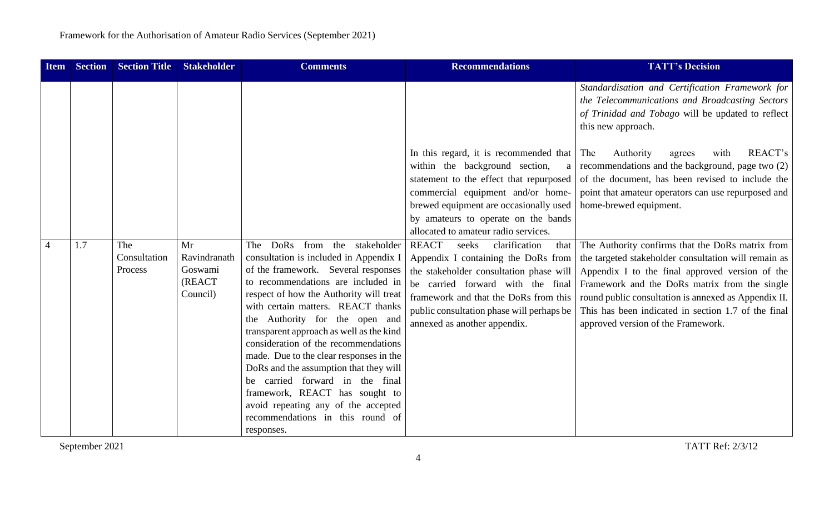| <b>Item</b>    | <b>Section</b> | <b>Section Title</b>           | <b>Stakeholder</b>                                  | <b>Comments</b>                                                                                                                                                                                                                                                                                                                                                                                                                                                                                                                                                                                                      | <b>Recommendations</b>                                                                                                                                                                                                                                                                      | <b>TATT's Decision</b>                                                                                                                                                                                                                                                                                                                                            |
|----------------|----------------|--------------------------------|-----------------------------------------------------|----------------------------------------------------------------------------------------------------------------------------------------------------------------------------------------------------------------------------------------------------------------------------------------------------------------------------------------------------------------------------------------------------------------------------------------------------------------------------------------------------------------------------------------------------------------------------------------------------------------------|---------------------------------------------------------------------------------------------------------------------------------------------------------------------------------------------------------------------------------------------------------------------------------------------|-------------------------------------------------------------------------------------------------------------------------------------------------------------------------------------------------------------------------------------------------------------------------------------------------------------------------------------------------------------------|
|                |                |                                |                                                     |                                                                                                                                                                                                                                                                                                                                                                                                                                                                                                                                                                                                                      | In this regard, it is recommended that The<br>within the background section,<br>a<br>statement to the effect that repurposed                                                                                                                                                                | Standardisation and Certification Framework for<br>the Telecommunications and Broadcasting Sectors<br>of Trinidad and Tobago will be updated to reflect<br>this new approach.<br>REACT's<br>Authority<br>with<br>agrees<br>recommendations and the background, page two (2)<br>of the document, has been revised to include the                                   |
|                |                |                                |                                                     |                                                                                                                                                                                                                                                                                                                                                                                                                                                                                                                                                                                                                      | commercial equipment and/or home-<br>brewed equipment are occasionally used<br>by amateurs to operate on the bands<br>allocated to amateur radio services.                                                                                                                                  | point that amateur operators can use repurposed and<br>home-brewed equipment.                                                                                                                                                                                                                                                                                     |
| $\overline{4}$ | 1.7            | The<br>Consultation<br>Process | Mr<br>Ravindranath<br>Goswami<br>(REACT<br>Council) | DoRs<br>from the stakeholder<br>The<br>consultation is included in Appendix I<br>of the framework. Several responses<br>to recommendations are included in<br>respect of how the Authority will treat<br>with certain matters. REACT thanks<br>the Authority for the open and<br>transparent approach as well as the kind<br>consideration of the recommendations<br>made. Due to the clear responses in the<br>DoRs and the assumption that they will<br>be carried forward in the final<br>framework, REACT has sought to<br>avoid repeating any of the accepted<br>recommendations in this round of<br>responses. | <b>REACT</b><br>clarification<br>seeks<br>that<br>Appendix I containing the DoRs from<br>the stakeholder consultation phase will<br>be carried forward with the final<br>framework and that the DoRs from this<br>public consultation phase will perhaps be<br>annexed as another appendix. | The Authority confirms that the DoRs matrix from<br>the targeted stakeholder consultation will remain as<br>Appendix I to the final approved version of the<br>Framework and the DoRs matrix from the single<br>round public consultation is annexed as Appendix II.<br>This has been indicated in section 1.7 of the final<br>approved version of the Framework. |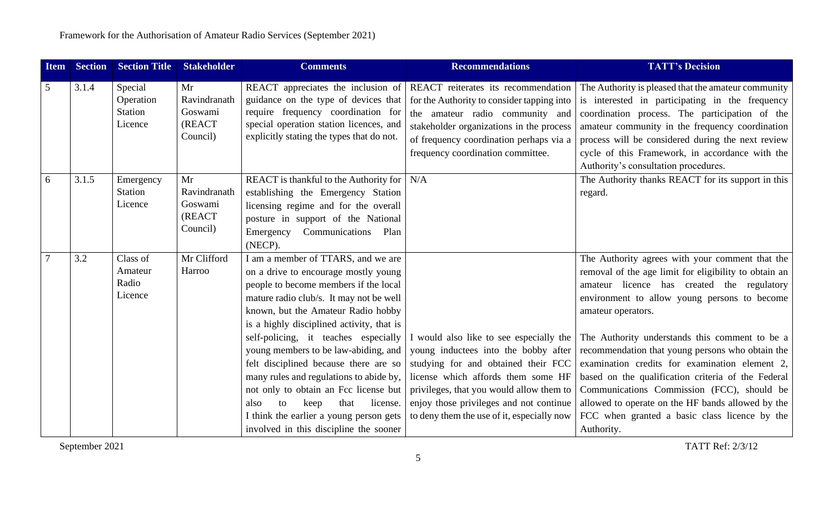| <b>Item</b> | <b>Section</b> | <b>Section Title</b>                              | <b>Stakeholder</b>                                  | <b>Comments</b>                                                                                                                                                                                                                                                                                                                                                                                                                                                                                                                                                                               | <b>Recommendations</b>                                                                                                                                                                                                                                                                            | <b>TATT's Decision</b>                                                                                                                                                                                                                                                                                                                                                                                                                                                                                                                                                                                       |
|-------------|----------------|---------------------------------------------------|-----------------------------------------------------|-----------------------------------------------------------------------------------------------------------------------------------------------------------------------------------------------------------------------------------------------------------------------------------------------------------------------------------------------------------------------------------------------------------------------------------------------------------------------------------------------------------------------------------------------------------------------------------------------|---------------------------------------------------------------------------------------------------------------------------------------------------------------------------------------------------------------------------------------------------------------------------------------------------|--------------------------------------------------------------------------------------------------------------------------------------------------------------------------------------------------------------------------------------------------------------------------------------------------------------------------------------------------------------------------------------------------------------------------------------------------------------------------------------------------------------------------------------------------------------------------------------------------------------|
| 5           | 3.1.4          | Special<br>Operation<br><b>Station</b><br>Licence | Mr<br>Ravindranath<br>Goswami<br>(REACT<br>Council) | REACT appreciates the inclusion of<br>guidance on the type of devices that<br>require frequency coordination for<br>special operation station licences, and<br>explicitly stating the types that do not.                                                                                                                                                                                                                                                                                                                                                                                      | REACT reiterates its recommendation<br>for the Authority to consider tapping into<br>the amateur radio community and<br>stakeholder organizations in the process<br>of frequency coordination perhaps via a<br>frequency coordination committee.                                                  | The Authority is pleased that the amateur community<br>is interested in participating in the frequency<br>coordination process. The participation of the<br>amateur community in the frequency coordination<br>process will be considered during the next review<br>cycle of this Framework, in accordance with the<br>Authority's consultation procedures.                                                                                                                                                                                                                                                  |
| 6           | 3.1.5          | Emergency<br><b>Station</b><br>Licence            | Mr<br>Ravindranath<br>Goswami<br>(REACT<br>Council) | <b>REACT</b> is thankful to the Authority for<br>establishing the Emergency Station<br>licensing regime and for the overall<br>posture in support of the National<br>Communications Plan<br>Emergency<br>(NECP).                                                                                                                                                                                                                                                                                                                                                                              | N/A                                                                                                                                                                                                                                                                                               | The Authority thanks REACT for its support in this<br>regard.                                                                                                                                                                                                                                                                                                                                                                                                                                                                                                                                                |
|             | 3.2            | Class of<br>Amateur<br>Radio<br>Licence           | Mr Clifford<br>Harroo                               | I am a member of TTARS, and we are<br>on a drive to encourage mostly young<br>people to become members if the local<br>mature radio club/s. It may not be well<br>known, but the Amateur Radio hobby<br>is a highly disciplined activity, that is<br>self-policing, it teaches especially<br>young members to be law-abiding, and<br>felt disciplined because there are so<br>many rules and regulations to abide by,<br>not only to obtain an Fcc license but<br>to<br>that<br>license.<br>also<br>keep<br>I think the earlier a young person gets<br>involved in this discipline the sooner | I would also like to see especially the<br>young inductees into the bobby after<br>studying for and obtained their FCC<br>license which affords them some HF<br>privileges, that you would allow them to<br>enjoy those privileges and not continue<br>to deny them the use of it, especially now | The Authority agrees with your comment that the<br>removal of the age limit for eligibility to obtain an<br>amateur licence has created the regulatory<br>environment to allow young persons to become<br>amateur operators.<br>The Authority understands this comment to be a<br>recommendation that young persons who obtain the<br>examination credits for examination element 2,<br>based on the qualification criteria of the Federal<br>Communications Commission (FCC), should be<br>allowed to operate on the HF bands allowed by the<br>FCC when granted a basic class licence by the<br>Authority. |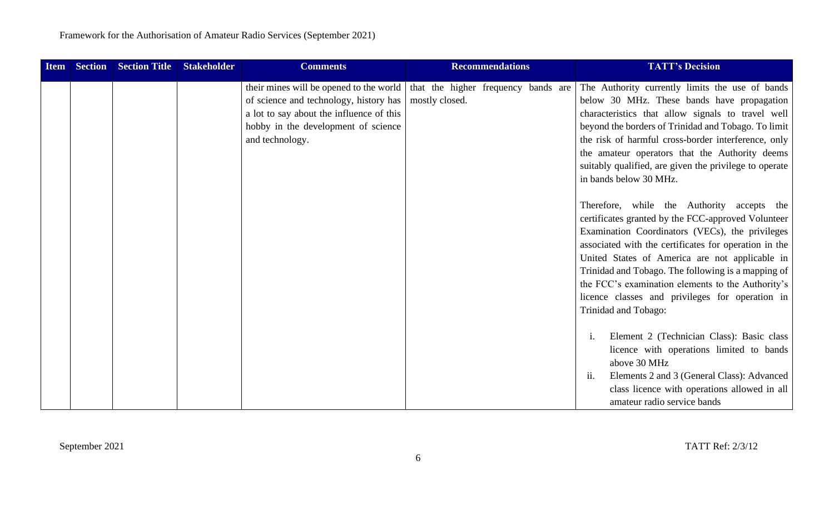| <b>Item</b> | <b>Section</b> | <b>Section Title</b> | <b>Stakeholder</b> | <b>Comments</b>                                                                                                                                                                         | <b>Recommendations</b>                                | <b>TATT's Decision</b>                                                                                                                                                                                                                                                                                                                                                                                                                               |
|-------------|----------------|----------------------|--------------------|-----------------------------------------------------------------------------------------------------------------------------------------------------------------------------------------|-------------------------------------------------------|------------------------------------------------------------------------------------------------------------------------------------------------------------------------------------------------------------------------------------------------------------------------------------------------------------------------------------------------------------------------------------------------------------------------------------------------------|
|             |                |                      |                    | their mines will be opened to the world<br>of science and technology, history has<br>a lot to say about the influence of this<br>hobby in the development of science<br>and technology. | that the higher frequency bands are<br>mostly closed. | The Authority currently limits the use of bands<br>below 30 MHz. These bands have propagation<br>characteristics that allow signals to travel well<br>beyond the borders of Trinidad and Tobago. To limit<br>the risk of harmful cross-border interference, only<br>the amateur operators that the Authority deems<br>suitably qualified, are given the privilege to operate<br>in bands below 30 MHz.                                               |
|             |                |                      |                    |                                                                                                                                                                                         |                                                       | Therefore, while the Authority accepts the<br>certificates granted by the FCC-approved Volunteer<br>Examination Coordinators (VECs), the privileges<br>associated with the certificates for operation in the<br>United States of America are not applicable in<br>Trinidad and Tobago. The following is a mapping of<br>the FCC's examination elements to the Authority's<br>licence classes and privileges for operation in<br>Trinidad and Tobago: |
|             |                |                      |                    |                                                                                                                                                                                         |                                                       | Element 2 (Technician Class): Basic class<br>licence with operations limited to bands<br>above 30 MHz<br>Elements 2 and 3 (General Class): Advanced<br>$\overline{11}$ .<br>class licence with operations allowed in all<br>amateur radio service bands                                                                                                                                                                                              |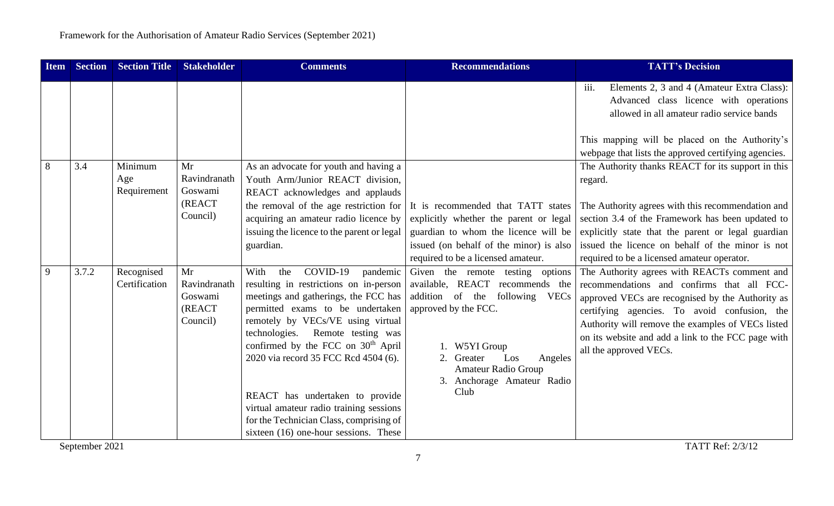| <b>Item</b> | <b>Section</b> | <b>Section Title</b>          | <b>Stakeholder</b>                                  | <b>Comments</b>                                                                                                                                                                                                                                                                                                                                                                                                                                                                                   | <b>Recommendations</b>                                                                                                                                                                                                                                | <b>TATT's Decision</b>                                                                                                                                                                                                                                                                                                              |
|-------------|----------------|-------------------------------|-----------------------------------------------------|---------------------------------------------------------------------------------------------------------------------------------------------------------------------------------------------------------------------------------------------------------------------------------------------------------------------------------------------------------------------------------------------------------------------------------------------------------------------------------------------------|-------------------------------------------------------------------------------------------------------------------------------------------------------------------------------------------------------------------------------------------------------|-------------------------------------------------------------------------------------------------------------------------------------------------------------------------------------------------------------------------------------------------------------------------------------------------------------------------------------|
|             |                |                               |                                                     |                                                                                                                                                                                                                                                                                                                                                                                                                                                                                                   |                                                                                                                                                                                                                                                       | iii.<br>Elements 2, 3 and 4 (Amateur Extra Class):<br>Advanced class licence with operations<br>allowed in all amateur radio service bands                                                                                                                                                                                          |
|             |                |                               |                                                     |                                                                                                                                                                                                                                                                                                                                                                                                                                                                                                   |                                                                                                                                                                                                                                                       | This mapping will be placed on the Authority's<br>webpage that lists the approved certifying agencies.                                                                                                                                                                                                                              |
| 8           | 3.4            | Minimum<br>Age<br>Requirement | Mr<br>Ravindranath<br>Goswami<br>(REACT<br>Council) | As an advocate for youth and having a<br>Youth Arm/Junior REACT division,<br>REACT acknowledges and applauds<br>the removal of the age restriction for<br>acquiring an amateur radio licence by                                                                                                                                                                                                                                                                                                   | It is recommended that TATT states<br>explicitly whether the parent or legal                                                                                                                                                                          | The Authority thanks REACT for its support in this<br>regard.<br>The Authority agrees with this recommendation and<br>section 3.4 of the Framework has been updated to                                                                                                                                                              |
|             |                |                               |                                                     | issuing the licence to the parent or legal<br>guardian.                                                                                                                                                                                                                                                                                                                                                                                                                                           | guardian to whom the licence will be<br>issued (on behalf of the minor) is also<br>required to be a licensed amateur.                                                                                                                                 | explicitly state that the parent or legal guardian<br>issued the licence on behalf of the minor is not<br>required to be a licensed amateur operator.                                                                                                                                                                               |
| 9           | 3.7.2          | Recognised<br>Certification   | Mr<br>Ravindranath<br>Goswami<br>(REACT<br>Council) | COVID-19<br>With<br>the<br>pandemic<br>resulting in restrictions on in-person<br>meetings and gatherings, the FCC has<br>permitted exams to be undertaken<br>remotely by VECs/VE using virtual<br>technologies.<br>Remote testing was<br>confirmed by the FCC on 30 <sup>th</sup> April<br>2020 via record 35 FCC Rcd 4504 (6).<br>REACT has undertaken to provide<br>virtual amateur radio training sessions<br>for the Technician Class, comprising of<br>sixteen (16) one-hour sessions. These | Given the remote testing options<br>available, REACT recommends the<br>addition of the following VECs<br>approved by the FCC.<br>1. W5YI Group<br>2.<br>Greater<br>Los<br>Angeles<br><b>Amateur Radio Group</b><br>3. Anchorage Amateur Radio<br>Club | The Authority agrees with REACTs comment and<br>recommendations and confirms that all FCC-<br>approved VECs are recognised by the Authority as<br>certifying agencies. To avoid confusion, the<br>Authority will remove the examples of VECs listed<br>on its website and add a link to the FCC page with<br>all the approved VECs. |
|             | September 2021 |                               |                                                     |                                                                                                                                                                                                                                                                                                                                                                                                                                                                                                   |                                                                                                                                                                                                                                                       | TATT Ref: 2/3/12                                                                                                                                                                                                                                                                                                                    |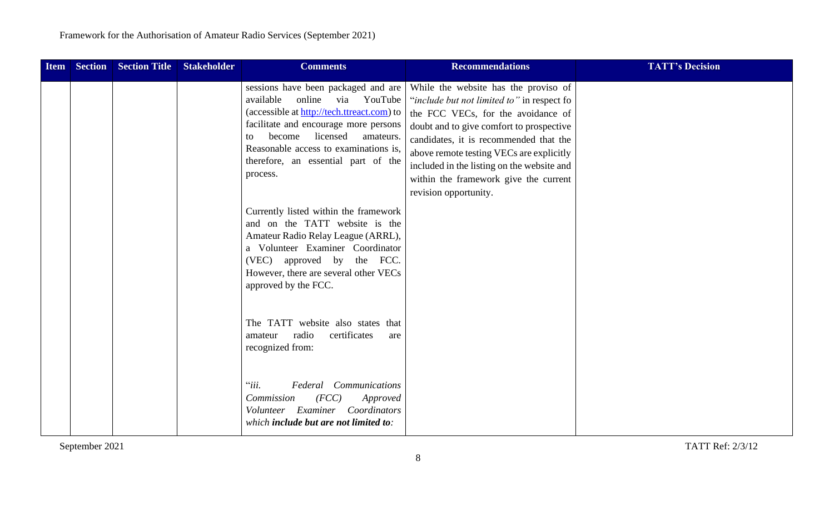| <b>Item</b> | <b>Section</b> | Section Title | <b>Stakeholder</b> | <b>Comments</b>                                                                                                                                                                                                                                                                                       | <b>Recommendations</b>                                                                                                                                                                                                                                                                                                                                                     | <b>TATT's Decision</b> |
|-------------|----------------|---------------|--------------------|-------------------------------------------------------------------------------------------------------------------------------------------------------------------------------------------------------------------------------------------------------------------------------------------------------|----------------------------------------------------------------------------------------------------------------------------------------------------------------------------------------------------------------------------------------------------------------------------------------------------------------------------------------------------------------------------|------------------------|
|             |                |               |                    | sessions have been packaged and are<br>available<br>online<br>YouTube<br>via<br>(accessible at http://tech.ttreact.com) to<br>facilitate and encourage more persons<br>become licensed<br>amateurs.<br>to<br>Reasonable access to examinations is,<br>therefore, an essential part of the<br>process. | While the website has the proviso of<br>"include but not limited to" in respect fo<br>the FCC VECs, for the avoidance of<br>doubt and to give comfort to prospective<br>candidates, it is recommended that the<br>above remote testing VECs are explicitly<br>included in the listing on the website and<br>within the framework give the current<br>revision opportunity. |                        |
|             |                |               |                    | Currently listed within the framework<br>and on the TATT website is the<br>Amateur Radio Relay League (ARRL),<br>a Volunteer Examiner Coordinator<br>(VEC) approved by the FCC.<br>However, there are several other VECs<br>approved by the FCC.                                                      |                                                                                                                                                                                                                                                                                                                                                                            |                        |
|             |                |               |                    | The TATT website also states that<br>certificates<br>radio<br>amateur<br>are<br>recognized from:                                                                                                                                                                                                      |                                                                                                                                                                                                                                                                                                                                                                            |                        |
|             |                |               |                    | ``iii.<br>Federal<br>Communications<br>Commission<br>(FCC)<br>Approved<br>Volunteer Examiner<br>Coordinators<br>which include but are not limited to:                                                                                                                                                 |                                                                                                                                                                                                                                                                                                                                                                            |                        |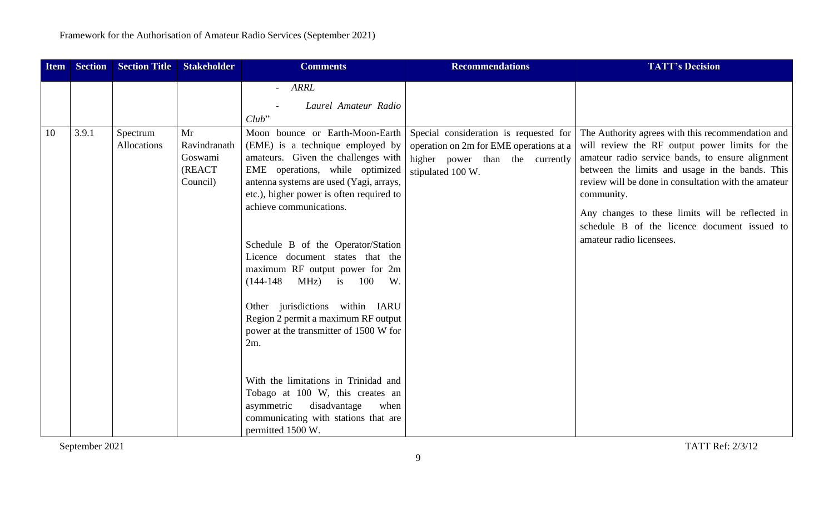| <b>Item</b> | <b>Section</b> | <b>Section Title</b>    | <b>Stakeholder</b>                                  | <b>Comments</b>                                                                                                                                                                                                                                                                                                                                                                                                                                           | <b>Recommendations</b>                                                                                                                    | <b>TATT's Decision</b>                                                                                                                                                                                                                                                                                                                                                                                           |
|-------------|----------------|-------------------------|-----------------------------------------------------|-----------------------------------------------------------------------------------------------------------------------------------------------------------------------------------------------------------------------------------------------------------------------------------------------------------------------------------------------------------------------------------------------------------------------------------------------------------|-------------------------------------------------------------------------------------------------------------------------------------------|------------------------------------------------------------------------------------------------------------------------------------------------------------------------------------------------------------------------------------------------------------------------------------------------------------------------------------------------------------------------------------------------------------------|
| 10          | 3.9.1          | Spectrum<br>Allocations | Mr<br>Ravindranath<br>Goswami<br>(REACT<br>Council) | - ARRL<br>Laurel Amateur Radio<br>Club"<br>Moon bounce or Earth-Moon-Earth<br>(EME) is a technique employed by<br>amateurs. Given the challenges with<br>EME operations, while optimized<br>antenna systems are used (Yagi, arrays,<br>etc.), higher power is often required to<br>achieve communications.<br>Schedule B of the Operator/Station<br>Licence document states that the<br>maximum RF output power for 2m<br>$(144-148 \t MHz)$ is 100<br>W. | Special consideration is requested for<br>operation on 2m for EME operations at a<br>higher power than the currently<br>stipulated 100 W. | The Authority agrees with this recommendation and<br>will review the RF output power limits for the<br>amateur radio service bands, to ensure alignment<br>between the limits and usage in the bands. This<br>review will be done in consultation with the amateur<br>community.<br>Any changes to these limits will be reflected in<br>schedule B of the licence document issued to<br>amateur radio licensees. |
|             |                |                         |                                                     | Other jurisdictions within IARU<br>Region 2 permit a maximum RF output<br>power at the transmitter of 1500 W for<br>$2m$ .                                                                                                                                                                                                                                                                                                                                |                                                                                                                                           |                                                                                                                                                                                                                                                                                                                                                                                                                  |
|             |                |                         |                                                     | With the limitations in Trinidad and<br>Tobago at 100 W, this creates an<br>asymmetric<br>disadvantage<br>when<br>communicating with stations that are<br>permitted 1500 W.                                                                                                                                                                                                                                                                               |                                                                                                                                           |                                                                                                                                                                                                                                                                                                                                                                                                                  |